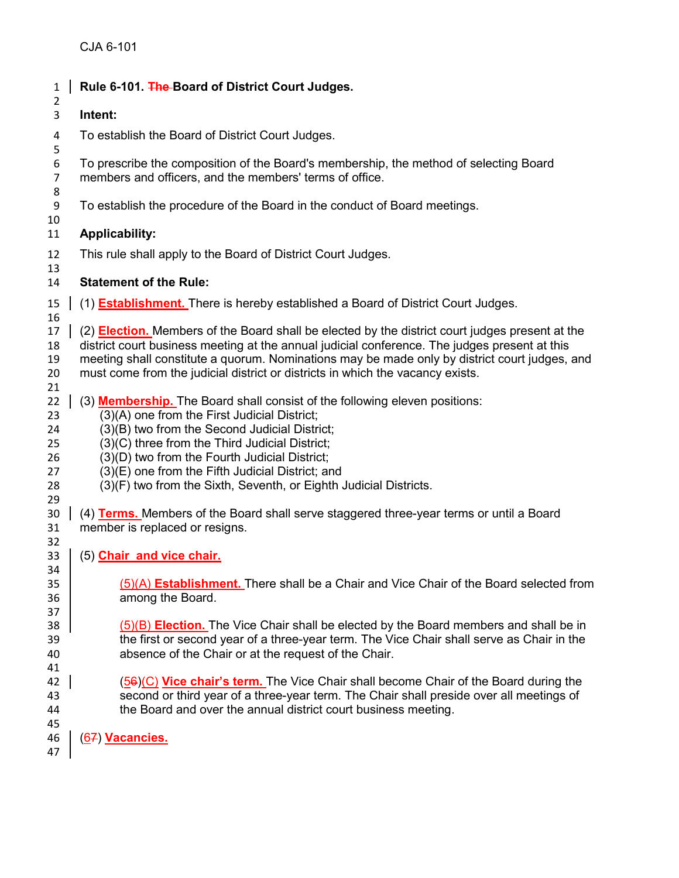| $\mathbf{1}$                                 | Rule 6-101. The Board of District Court Judges.                                                                                                                                                                                                                                                                                                                                                                |
|----------------------------------------------|----------------------------------------------------------------------------------------------------------------------------------------------------------------------------------------------------------------------------------------------------------------------------------------------------------------------------------------------------------------------------------------------------------------|
| $\overline{2}$<br>3                          | Intent:                                                                                                                                                                                                                                                                                                                                                                                                        |
| 4<br>5                                       | To establish the Board of District Court Judges.                                                                                                                                                                                                                                                                                                                                                               |
| 6<br>$\overline{7}$<br>8                     | To prescribe the composition of the Board's membership, the method of selecting Board<br>members and officers, and the members' terms of office.                                                                                                                                                                                                                                                               |
| 9<br>10                                      | To establish the procedure of the Board in the conduct of Board meetings.                                                                                                                                                                                                                                                                                                                                      |
| 11                                           | <b>Applicability:</b>                                                                                                                                                                                                                                                                                                                                                                                          |
| 12<br>13                                     | This rule shall apply to the Board of District Court Judges.                                                                                                                                                                                                                                                                                                                                                   |
| 14                                           | <b>Statement of the Rule:</b>                                                                                                                                                                                                                                                                                                                                                                                  |
| 15<br>16                                     | (1) <b>Establishment.</b> There is hereby established a Board of District Court Judges.                                                                                                                                                                                                                                                                                                                        |
| 17<br>18<br>19<br>20<br>21                   | (2) <b>Election.</b> Members of the Board shall be elected by the district court judges present at the<br>district court business meeting at the annual judicial conference. The judges present at this<br>meeting shall constitute a quorum. Nominations may be made only by district court judges, and<br>must come from the judicial district or districts in which the vacancy exists.                     |
| 22<br>23<br>24<br>25<br>26<br>27<br>28<br>29 | (3) <b>Membership.</b> The Board shall consist of the following eleven positions:<br>(3)(A) one from the First Judicial District;<br>(3)(B) two from the Second Judicial District;<br>(3)(C) three from the Third Judicial District;<br>(3)(D) two from the Fourth Judicial District;<br>(3)(E) one from the Fifth Judicial District; and<br>(3)(F) two from the Sixth, Seventh, or Eighth Judicial Districts. |
| 30<br>31<br>32                               | (4) Terms. Members of the Board shall serve staggered three-year terms or until a Board<br>member is replaced or resigns.                                                                                                                                                                                                                                                                                      |
| 33<br>34                                     | (5) Chair and vice chair.                                                                                                                                                                                                                                                                                                                                                                                      |
| 35<br>36<br>37                               | (5)(A) <b>Establishment.</b> There shall be a Chair and Vice Chair of the Board selected from<br>among the Board.                                                                                                                                                                                                                                                                                              |
| 38<br>39<br>40<br>41                         | (5)(B) Election. The Vice Chair shall be elected by the Board members and shall be in<br>the first or second year of a three-year term. The Vice Chair shall serve as Chair in the<br>absence of the Chair or at the request of the Chair.                                                                                                                                                                     |
| 42<br>43<br>44                               | (56)(C) Vice chair's term. The Vice Chair shall become Chair of the Board during the<br>second or third year of a three-year term. The Chair shall preside over all meetings of<br>the Board and over the annual district court business meeting.                                                                                                                                                              |
| 45<br>46<br>47                               | (67) Vacancies.                                                                                                                                                                                                                                                                                                                                                                                                |